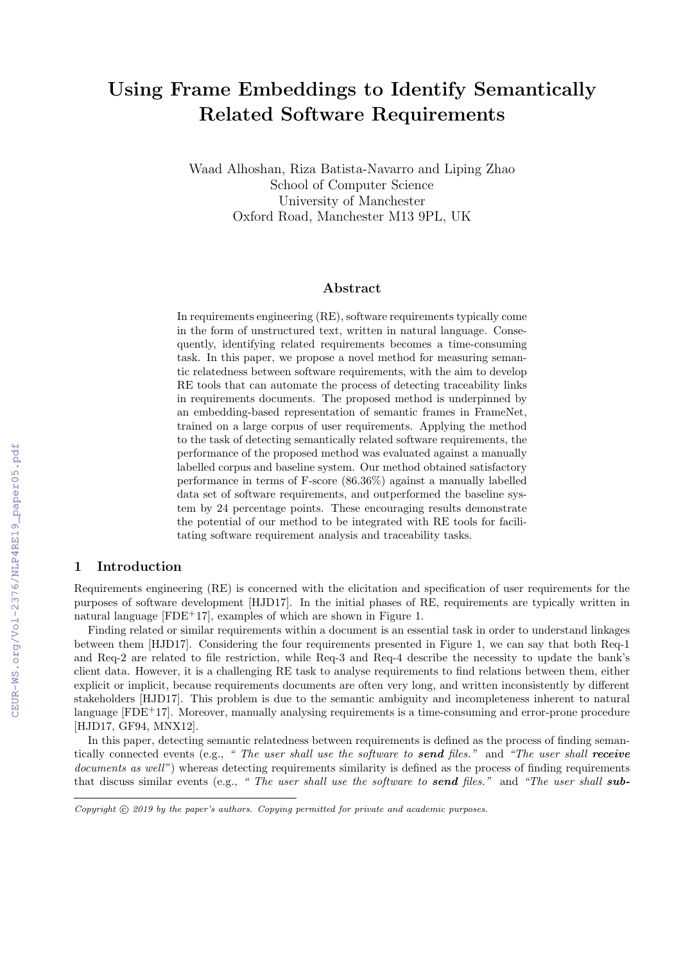# Using Frame Embeddings to Identify Semantically Related Software Requirements

Waad Alhoshan, Riza Batista-Navarro and Liping Zhao School of Computer Science University of Manchester Oxford Road, Manchester M13 9PL, UK

#### Abstract

In requirements engineering (RE), software requirements typically come in the form of unstructured text, written in natural language. Consequently, identifying related requirements becomes a time-consuming task. In this paper, we propose a novel method for measuring semantic relatedness between software requirements, with the aim to develop RE tools that can automate the process of detecting traceability links in requirements documents. The proposed method is underpinned by an embedding-based representation of semantic frames in FrameNet, trained on a large corpus of user requirements. Applying the method to the task of detecting semantically related software requirements, the performance of the proposed method was evaluated against a manually labelled corpus and baseline system. Our method obtained satisfactory performance in terms of F-score (86.36%) against a manually labelled data set of software requirements, and outperformed the baseline system by 24 percentage points. These encouraging results demonstrate the potential of our method to be integrated with RE tools for facilitating software requirement analysis and traceability tasks.

#### 1 Introduction

Requirements engineering (RE) is concerned with the elicitation and specification of user requirements for the purposes of software development [HJD17]. In the initial phases of RE, requirements are typically written in natural language [FDE+17], examples of which are shown in Figure 1.

Finding related or similar requirements within a document is an essential task in order to understand linkages between them [HJD17]. Considering the four requirements presented in Figure 1, we can say that both Req-1 and Req-2 are related to file restriction, while Req-3 and Req-4 describe the necessity to update the bank's client data. However, it is a challenging RE task to analyse requirements to find relations between them, either explicit or implicit, because requirements documents are often very long, and written inconsistently by different stakeholders [HJD17]. This problem is due to the semantic ambiguity and incompleteness inherent to natural language [FDE<sup>+</sup>17]. Moreover, manually analysing requirements is a time-consuming and error-prone procedure [HJD17, GF94, MNX12].

In this paper, detecting semantic relatedness between requirements is defined as the process of finding semantically connected events (e.g., " The user shall use the software to send files." and "The user shall receive documents as well") whereas detecting requirements similarity is defined as the process of finding requirements that discuss similar events (e.g., " The user shall use the software to send files." and "The user shall sub-

Copyright  $\odot$  2019 by the paper's authors. Copying permitted for private and academic purposes.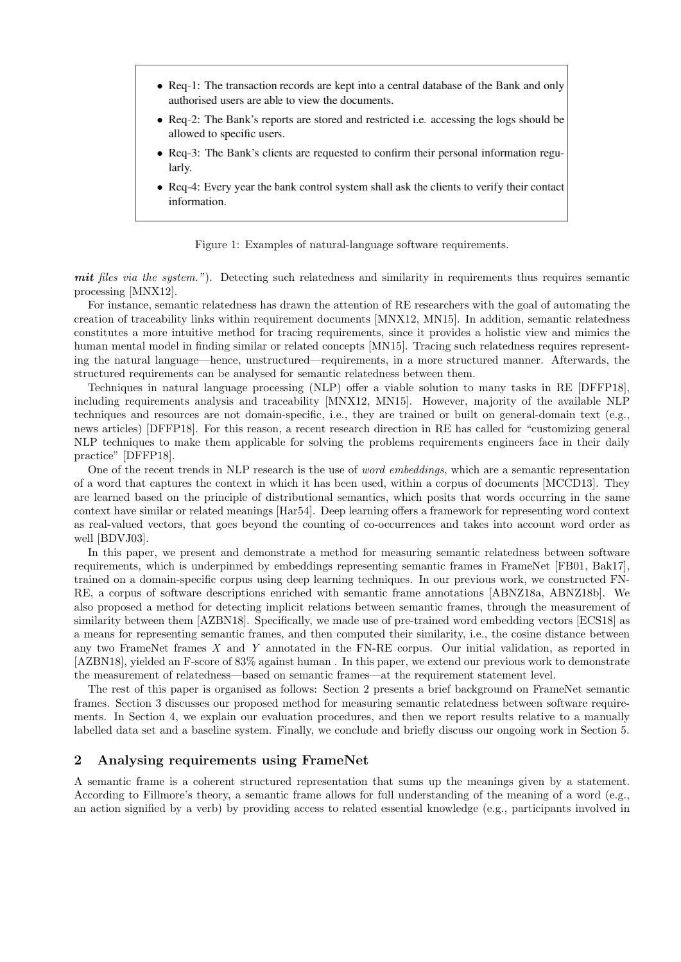- Req-1: The transaction records are kept into a central database of the Bank and only authorised users are able to view the documents.
- Req-2: The Bank's reports are stored and restricted i.e. accessing the logs should be allowed to specific users.
- Req-3: The Bank's clients are requested to confirm their personal information regularly.
- Req-4: Every year the bank control system shall ask the clients to verify their contact information.

Figure 1: Examples of natural-language software requirements.

mit files via the system."). Detecting such relatedness and similarity in requirements thus requires semantic processing [MNX12].

For instance, semantic relatedness has drawn the attention of RE researchers with the goal of automating the creation of traceability links within requirement documents [MNX12, MN15]. In addition, semantic relatedness constitutes a more intuitive method for tracing requirements, since it provides a holistic view and mimics the human mental model in finding similar or related concepts [MN15]. Tracing such relatedness requires representing the natural language—hence, unstructured—requirements, in a more structured manner. Afterwards, the structured requirements can be analysed for semantic relatedness between them.

Techniques in natural language processing (NLP) offer a viable solution to many tasks in RE [DFFP18], including requirements analysis and traceability [MNX12, MN15]. However, majority of the available NLP techniques and resources are not domain-specific, i.e., they are trained or built on general-domain text (e.g., news articles) [DFFP18]. For this reason, a recent research direction in RE has called for "customizing general NLP techniques to make them applicable for solving the problems requirements engineers face in their daily practice" [DFFP18].

One of the recent trends in NLP research is the use of *word embeddings*, which are a semantic representation of a word that captures the context in which it has been used, within a corpus of documents [MCCD13]. They are learned based on the principle of distributional semantics, which posits that words occurring in the same context have similar or related meanings [Har54]. Deep learning offers a framework for representing word context as real-valued vectors, that goes beyond the counting of co-occurrences and takes into account word order as well [BDVJ03].

In this paper, we present and demonstrate a method for measuring semantic relatedness between software requirements, which is underpinned by embeddings representing semantic frames in FrameNet [FB01, Bak17], trained on a domain-specific corpus using deep learning techniques. In our previous work, we constructed FN-RE, a corpus of software descriptions enriched with semantic frame annotations [ABNZ18a, ABNZ18b]. We also proposed a method for detecting implicit relations between semantic frames, through the measurement of similarity between them [AZBN18]. Specifically, we made use of pre-trained word embedding vectors [ECS18] as a means for representing semantic frames, and then computed their similarity, i.e., the cosine distance between any two FrameNet frames X and Y annotated in the FN-RE corpus. Our initial validation, as reported in [AZBN18], yielded an F-score of 83% against human . In this paper, we extend our previous work to demonstrate the measurement of relatedness—based on semantic frames—at the requirement statement level.

The rest of this paper is organised as follows: Section 2 presents a brief background on FrameNet semantic frames. Section 3 discusses our proposed method for measuring semantic relatedness between software requirements. In Section 4, we explain our evaluation procedures, and then we report results relative to a manually labelled data set and a baseline system. Finally, we conclude and briefly discuss our ongoing work in Section 5.

## 2 Analysing requirements using FrameNet

A semantic frame is a coherent structured representation that sums up the meanings given by a statement. According to Fillmore's theory, a semantic frame allows for full understanding of the meaning of a word (e.g., an action signified by a verb) by providing access to related essential knowledge (e.g., participants involved in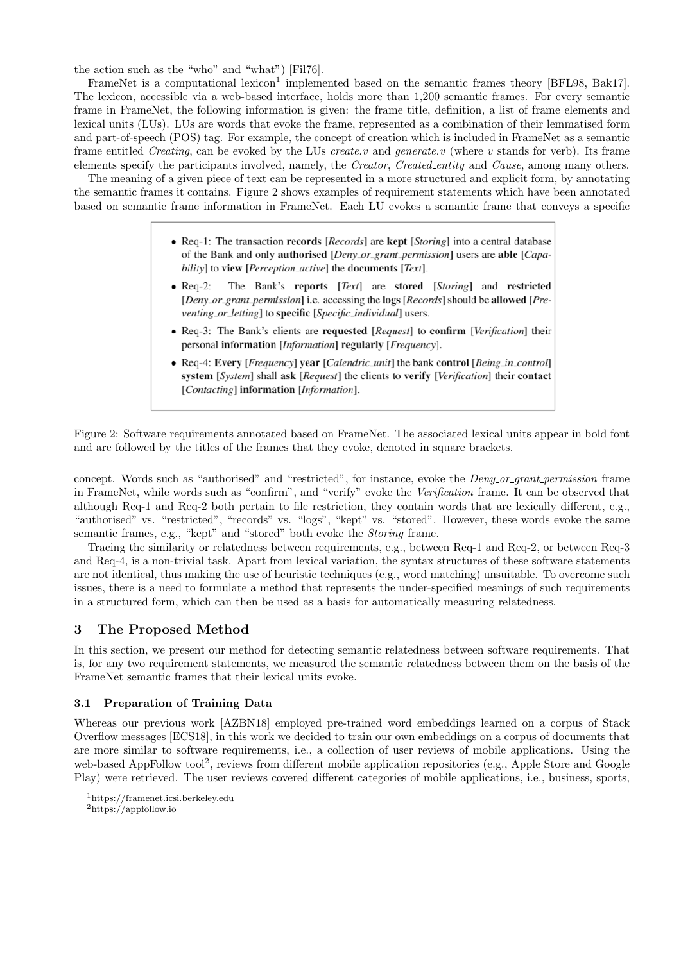the action such as the "who" and "what") [Fil76].

FrameNet is a computational lexicon<sup>1</sup> implemented based on the semantic frames theory [BFL98, Bak17]. The lexicon, accessible via a web-based interface, holds more than 1,200 semantic frames. For every semantic frame in FrameNet, the following information is given: the frame title, definition, a list of frame elements and lexical units (LUs). LUs are words that evoke the frame, represented as a combination of their lemmatised form and part-of-speech (POS) tag. For example, the concept of creation which is included in FrameNet as a semantic frame entitled *Creating*, can be evoked by the LUs *create.v* and *generate.v* (where v stands for verb). Its frame elements specify the participants involved, namely, the Creator, Created entity and Cause, among many others.

The meaning of a given piece of text can be represented in a more structured and explicit form, by annotating the semantic frames it contains. Figure 2 shows examples of requirement statements which have been annotated based on semantic frame information in FrameNet. Each LU evokes a semantic frame that conveys a specific

- Req-1: The transaction records  $[Re *ords*]$  are kept  $[Storing]$  into a central database of the Bank and only authorised [Deny\_or\_grant\_permission] users are able [Capability] to view [Perception\_active] the documents [Text].
- The Bank's reports [Text] are stored [Storing] and restricted  $\bullet$  Req-2: [Deny\_or\_grant\_permission] i.e. accessing the logs [Records] should be allowed [Preventing\_or\_letting] to specific [Specific\_individual] users.
- Req-3: The Bank's clients are requested [Request] to confirm [Verification] their personal information [Information] regularly [Frequency].
- Req-4: Every [*Frequency*] year [*Calendric\_unit*] the bank control [*Being\_in\_control*] system [System] shall ask [Request] the clients to verify [Verification] their contact [Contacting] information [Information].

Figure 2: Software requirements annotated based on FrameNet. The associated lexical units appear in bold font and are followed by the titles of the frames that they evoke, denoted in square brackets.

concept. Words such as "authorised" and "restricted", for instance, evoke the *Deny or grant permission* frame in FrameNet, while words such as "confirm", and "verify" evoke the Verification frame. It can be observed that although Req-1 and Req-2 both pertain to file restriction, they contain words that are lexically different, e.g., "authorised" vs. "restricted", "records" vs. "logs", "kept" vs. "stored". However, these words evoke the same semantic frames, e.g., "kept" and "stored" both evoke the Storing frame.

Tracing the similarity or relatedness between requirements, e.g., between Req-1 and Req-2, or between Req-3 and Req-4, is a non-trivial task. Apart from lexical variation, the syntax structures of these software statements are not identical, thus making the use of heuristic techniques (e.g., word matching) unsuitable. To overcome such issues, there is a need to formulate a method that represents the under-specified meanings of such requirements in a structured form, which can then be used as a basis for automatically measuring relatedness.

# 3 The Proposed Method

In this section, we present our method for detecting semantic relatedness between software requirements. That is, for any two requirement statements, we measured the semantic relatedness between them on the basis of the FrameNet semantic frames that their lexical units evoke.

## 3.1 Preparation of Training Data

Whereas our previous work [AZBN18] employed pre-trained word embeddings learned on a corpus of Stack Overflow messages [ECS18], in this work we decided to train our own embeddings on a corpus of documents that are more similar to software requirements, i.e., a collection of user reviews of mobile applications. Using the web-based AppFollow tool<sup>2</sup>, reviews from different mobile application repositories (e.g., Apple Store and Google Play) were retrieved. The user reviews covered different categories of mobile applications, i.e., business, sports,

<sup>1</sup>https://framenet.icsi.berkeley.edu

<sup>2</sup>https://appfollow.io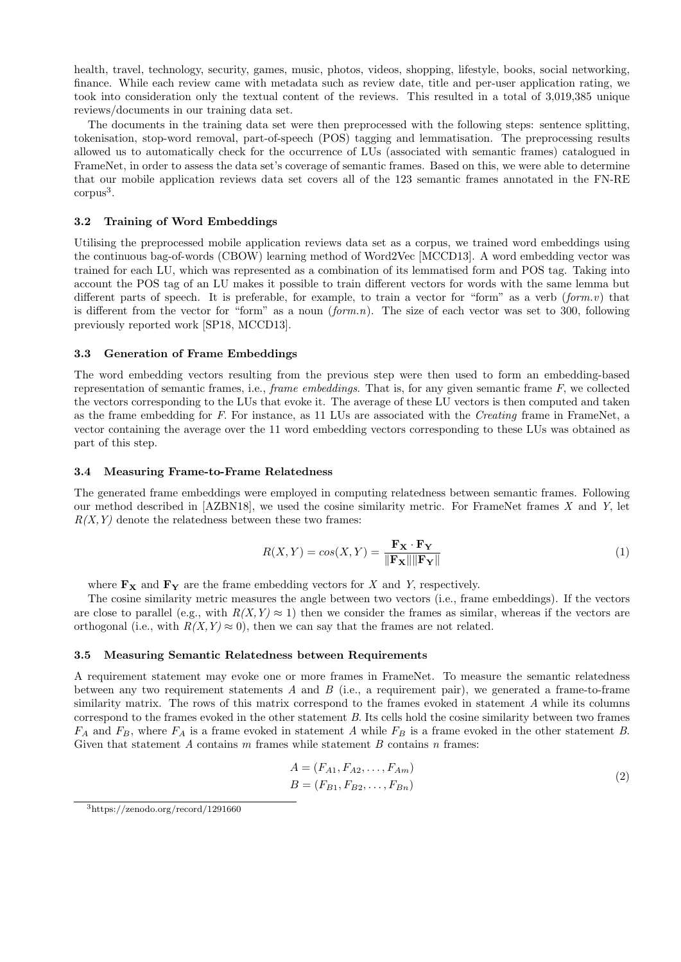health, travel, technology, security, games, music, photos, videos, shopping, lifestyle, books, social networking, finance. While each review came with metadata such as review date, title and per-user application rating, we took into consideration only the textual content of the reviews. This resulted in a total of 3,019,385 unique reviews/documents in our training data set.

The documents in the training data set were then preprocessed with the following steps: sentence splitting, tokenisation, stop-word removal, part-of-speech (POS) tagging and lemmatisation. The preprocessing results allowed us to automatically check for the occurrence of LUs (associated with semantic frames) catalogued in FrameNet, in order to assess the data set's coverage of semantic frames. Based on this, we were able to determine that our mobile application reviews data set covers all of the 123 semantic frames annotated in the FN-RE corpus<sup>3</sup>.

#### 3.2 Training of Word Embeddings

Utilising the preprocessed mobile application reviews data set as a corpus, we trained word embeddings using the continuous bag-of-words (CBOW) learning method of Word2Vec [MCCD13]. A word embedding vector was trained for each LU, which was represented as a combination of its lemmatised form and POS tag. Taking into account the POS tag of an LU makes it possible to train different vectors for words with the same lemma but different parts of speech. It is preferable, for example, to train a vector for "form" as a verb (*form.v*) that is different from the vector for "form" as a noun  $(form.n)$ . The size of each vector was set to 300, following previously reported work [SP18, MCCD13].

#### 3.3 Generation of Frame Embeddings

The word embedding vectors resulting from the previous step were then used to form an embedding-based representation of semantic frames, i.e., *frame embeddings*. That is, for any given semantic frame  $F$ , we collected the vectors corresponding to the LUs that evoke it. The average of these LU vectors is then computed and taken as the frame embedding for F. For instance, as 11 LUs are associated with the Creating frame in FrameNet, a vector containing the average over the 11 word embedding vectors corresponding to these LUs was obtained as part of this step.

#### 3.4 Measuring Frame-to-Frame Relatedness

The generated frame embeddings were employed in computing relatedness between semantic frames. Following our method described in [AZBN18], we used the cosine similarity metric. For FrameNet frames X and Y, let  $R(X, Y)$  denote the relatedness between these two frames:

$$
R(X,Y) = \cos(X,Y) = \frac{\mathbf{F_X} \cdot \mathbf{F_Y}}{\|\mathbf{F_X}\| \|\mathbf{F_Y}\|}
$$
(1)

where  $\mathbf{F}_{\mathbf{X}}$  and  $\mathbf{F}_{\mathbf{Y}}$  are the frame embedding vectors for X and Y, respectively.

The cosine similarity metric measures the angle between two vectors (i.e., frame embeddings). If the vectors are close to parallel (e.g., with  $R(X, Y) \approx 1$ ) then we consider the frames as similar, whereas if the vectors are orthogonal (i.e., with  $R(X, Y) \approx 0$ ), then we can say that the frames are not related.

#### 3.5 Measuring Semantic Relatedness between Requirements

A requirement statement may evoke one or more frames in FrameNet. To measure the semantic relatedness between any two requirement statements  $A$  and  $B$  (i.e., a requirement pair), we generated a frame-to-frame similarity matrix. The rows of this matrix correspond to the frames evoked in statement A while its columns correspond to the frames evoked in the other statement B. Its cells hold the cosine similarity between two frames  $F_A$  and  $F_B$ , where  $F_A$  is a frame evoked in statement A while  $F_B$  is a frame evoked in the other statement B. Given that statement  $A$  contains  $m$  frames while statement  $B$  contains  $n$  frames:

$$
A = (F_{A1}, F_{A2}, \dots, F_{Am})
$$
  
\n
$$
B = (F_{B1}, F_{B2}, \dots, F_{Bn})
$$
\n(2)

<sup>3</sup>https://zenodo.org/record/1291660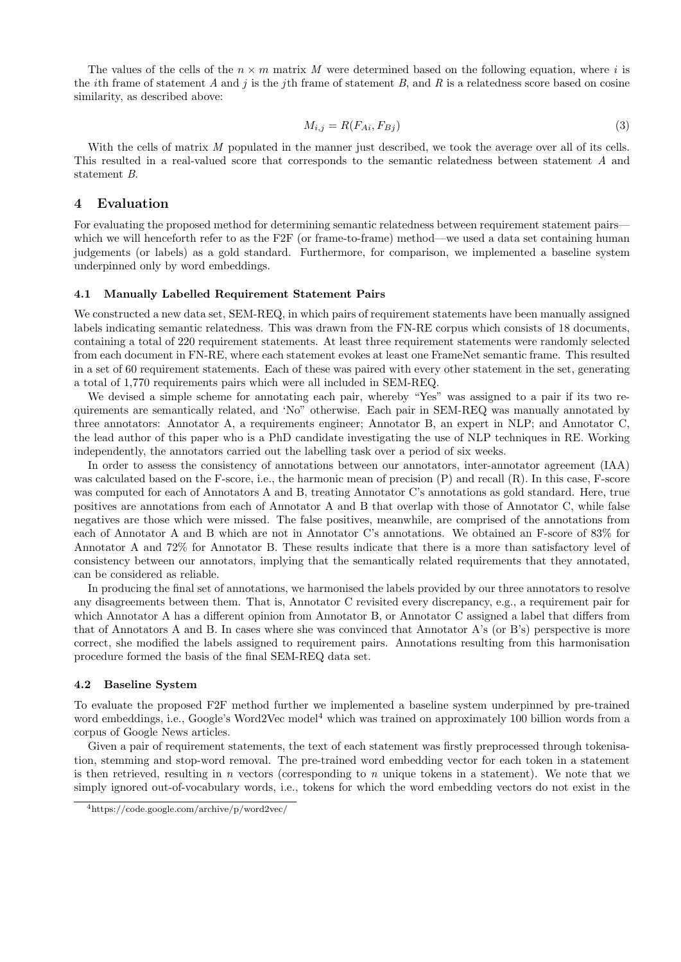The values of the cells of the  $n \times m$  matrix M were determined based on the following equation, where i is the *i*th frame of statement A and *i* is the *i*th frame of statement B, and R is a relatedness score based on cosine similarity, as described above:

$$
M_{i,j} = R(F_{Ai}, F_{Bj})
$$
\n<sup>(3)</sup>

With the cells of matrix M populated in the manner just described, we took the average over all of its cells. This resulted in a real-valued score that corresponds to the semantic relatedness between statement A and statement B.

## 4 Evaluation

For evaluating the proposed method for determining semantic relatedness between requirement statement pairs which we will henceforth refer to as the F2F (or frame-to-frame) method—we used a data set containing human judgements (or labels) as a gold standard. Furthermore, for comparison, we implemented a baseline system underpinned only by word embeddings.

#### 4.1 Manually Labelled Requirement Statement Pairs

We constructed a new data set, SEM-REQ, in which pairs of requirement statements have been manually assigned labels indicating semantic relatedness. This was drawn from the FN-RE corpus which consists of 18 documents, containing a total of 220 requirement statements. At least three requirement statements were randomly selected from each document in FN-RE, where each statement evokes at least one FrameNet semantic frame. This resulted in a set of 60 requirement statements. Each of these was paired with every other statement in the set, generating a total of 1,770 requirements pairs which were all included in SEM-REQ.

We devised a simple scheme for annotating each pair, whereby "Yes" was assigned to a pair if its two requirements are semantically related, and 'No" otherwise. Each pair in SEM-REQ was manually annotated by three annotators: Annotator A, a requirements engineer; Annotator B, an expert in NLP; and Annotator C, the lead author of this paper who is a PhD candidate investigating the use of NLP techniques in RE. Working independently, the annotators carried out the labelling task over a period of six weeks.

In order to assess the consistency of annotations between our annotators, inter-annotator agreement (IAA) was calculated based on the F-score, i.e., the harmonic mean of precision (P) and recall (R). In this case, F-score was computed for each of Annotators A and B, treating Annotator C's annotations as gold standard. Here, true positives are annotations from each of Annotator A and B that overlap with those of Annotator C, while false negatives are those which were missed. The false positives, meanwhile, are comprised of the annotations from each of Annotator A and B which are not in Annotator C's annotations. We obtained an F-score of 83% for Annotator A and 72% for Annotator B. These results indicate that there is a more than satisfactory level of consistency between our annotators, implying that the semantically related requirements that they annotated, can be considered as reliable.

In producing the final set of annotations, we harmonised the labels provided by our three annotators to resolve any disagreements between them. That is, Annotator C revisited every discrepancy, e.g., a requirement pair for which Annotator A has a different opinion from Annotator B, or Annotator C assigned a label that differs from that of Annotators A and B. In cases where she was convinced that Annotator A's (or B's) perspective is more correct, she modified the labels assigned to requirement pairs. Annotations resulting from this harmonisation procedure formed the basis of the final SEM-REQ data set.

#### 4.2 Baseline System

To evaluate the proposed F2F method further we implemented a baseline system underpinned by pre-trained word embeddings, i.e., Google's Word2Vec model<sup>4</sup> which was trained on approximately 100 billion words from a corpus of Google News articles.

Given a pair of requirement statements, the text of each statement was firstly preprocessed through tokenisation, stemming and stop-word removal. The pre-trained word embedding vector for each token in a statement is then retrieved, resulting in n vectors (corresponding to n unique tokens in a statement). We note that we simply ignored out-of-vocabulary words, i.e., tokens for which the word embedding vectors do not exist in the

<sup>4</sup>https://code.google.com/archive/p/word2vec/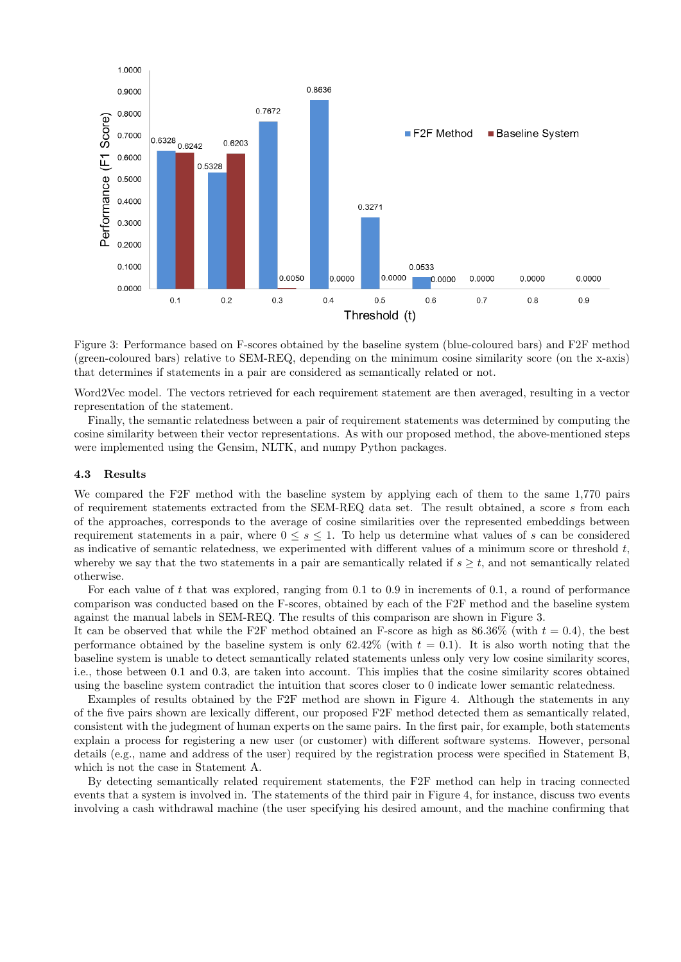

Figure 3: Performance based on F-scores obtained by the baseline system (blue-coloured bars) and F2F method (green-coloured bars) relative to SEM-REQ, depending on the minimum cosine similarity score (on the x-axis) that determines if statements in a pair are considered as semantically related or not.

Word2Vec model. The vectors retrieved for each requirement statement are then averaged, resulting in a vector representation of the statement.

Finally, the semantic relatedness between a pair of requirement statements was determined by computing the cosine similarity between their vector representations. As with our proposed method, the above-mentioned steps were implemented using the Gensim, NLTK, and numpy Python packages.

#### 4.3 Results

We compared the F2F method with the baseline system by applying each of them to the same 1,770 pairs of requirement statements extracted from the SEM-REQ data set. The result obtained, a score s from each of the approaches, corresponds to the average of cosine similarities over the represented embeddings between requirement statements in a pair, where  $0 \leq s \leq 1$ . To help us determine what values of s can be considered as indicative of semantic relatedness, we experimented with different values of a minimum score or threshold  $t$ , whereby we say that the two statements in a pair are semantically related if  $s \geq t$ , and not semantically related otherwise.

For each value of t that was explored, ranging from 0.1 to 0.9 in increments of 0.1, a round of performance comparison was conducted based on the F-scores, obtained by each of the F2F method and the baseline system against the manual labels in SEM-REQ. The results of this comparison are shown in Figure 3.

It can be observed that while the F2F method obtained an F-score as high as  $86.36\%$  (with  $t = 0.4$ ), the best performance obtained by the baseline system is only  $62.42\%$  (with  $t = 0.1$ ). It is also worth noting that the baseline system is unable to detect semantically related statements unless only very low cosine similarity scores, i.e., those between 0.1 and 0.3, are taken into account. This implies that the cosine similarity scores obtained using the baseline system contradict the intuition that scores closer to 0 indicate lower semantic relatedness.

Examples of results obtained by the F2F method are shown in Figure 4. Although the statements in any of the five pairs shown are lexically different, our proposed F2F method detected them as semantically related, consistent with the judegment of human experts on the same pairs. In the first pair, for example, both statements explain a process for registering a new user (or customer) with different software systems. However, personal details (e.g., name and address of the user) required by the registration process were specified in Statement B, which is not the case in Statement A.

By detecting semantically related requirement statements, the F2F method can help in tracing connected events that a system is involved in. The statements of the third pair in Figure 4, for instance, discuss two events involving a cash withdrawal machine (the user specifying his desired amount, and the machine confirming that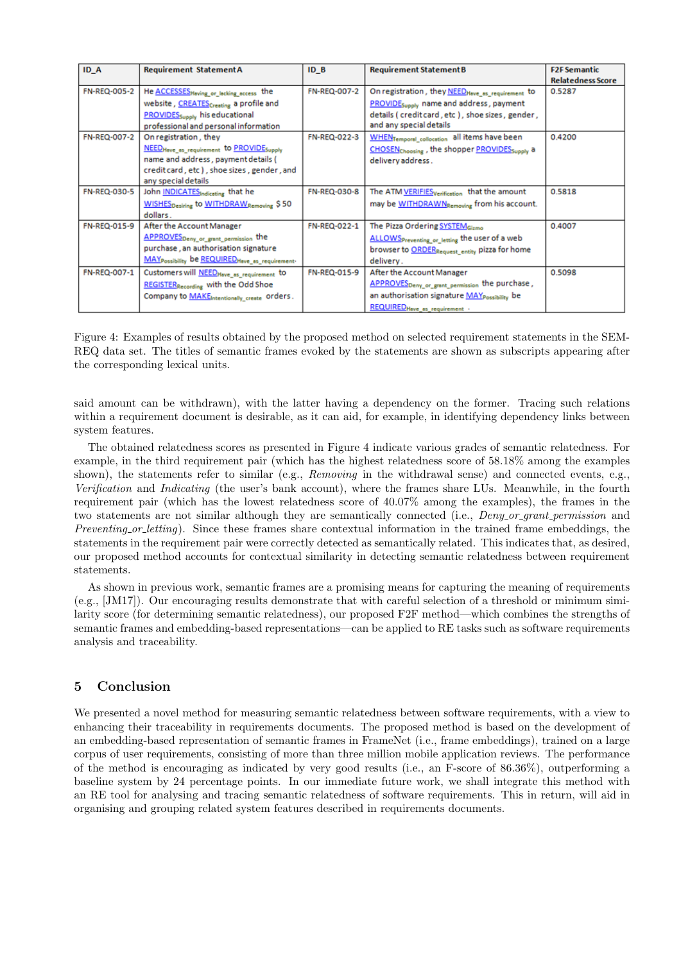| ID A         | <b>Requirement StatementA</b>                                   | ID <sub>B</sub> | <b>Requirement Statement B</b>                                        | <b>F2F Semantic</b>      |
|--------------|-----------------------------------------------------------------|-----------------|-----------------------------------------------------------------------|--------------------------|
|              |                                                                 |                 |                                                                       | <b>Relatedness Score</b> |
| FN-REQ-005-2 | He <b>ACCESSES</b> Heving or lecking access the                 | FN-REQ-007-2    | On registration, they NEED Hove_as_requirement to                     | 0.5287                   |
|              | website, CREATES <sub>Creating</sub> a profile and              |                 | PROVIDE <sub>Supply</sub> name and address, payment                   |                          |
|              | PROVIDES <sub>Supply</sub> his educational                      |                 | details (credit card, etc), shoe sizes, gender,                       |                          |
|              | professional and personal information                           |                 | and any special details                                               |                          |
| FN-REQ-007-2 | On registration, they                                           | FN-REQ-022-3    | WHENTemporal_collocation all items have been                          | 0.4200                   |
|              | NEEDHeve as requirement to PROVIDESupply                        |                 | CHOSEN <sub>Choosing</sub> , the shopper PROVIDES <sub>Supply</sub> a |                          |
|              | name and address, payment details (                             |                 | delivery address.                                                     |                          |
|              | credit card, etc), shoe sizes, gender, and                      |                 |                                                                       |                          |
|              | any special details                                             |                 |                                                                       |                          |
| FN-REQ-030-5 | John <b>INDICATES</b> Indicating that he                        | FN-REQ-030-8    | The ATM VERIFIES verification that the amount                         | 0.5818                   |
|              | WISHES <sub>Desiring</sub> to WITHDRAW <sub>Removing</sub> \$50 |                 | may be WITHDRAWNRemoving from his account.                            |                          |
|              | dollars.                                                        |                 |                                                                       |                          |
| FN-REQ-015-9 | After the Account Manager                                       | FN-REQ-022-1    | The Pizza Ordering SYSTEMGizmo                                        | 0.4007                   |
|              | APPROVES <sub>Deny or grant permission</sub> the                |                 | ALLOWS Preventing or letting the user of a web                        |                          |
|              | purchase, an authorisation signature                            |                 | browser to ORDERRequest_entity pizza for home                         |                          |
|              | MAY Possibility be REQUIRED Heve_as_requirement-                |                 | delivery.                                                             |                          |
| FN-REQ-007-1 | Customers will NEEDHeve_es_requirement to                       | FN-REQ-015-9    | After the Account Manager                                             | 0.5098                   |
|              | <b>REGISTER Recording</b> with the Odd Shoe                     |                 | APPROVES <sub>Deny_or_grant_permission</sub> the purchase,            |                          |
|              | Company to MAKEIntentionally create orders.                     |                 | an authorisation signature MAY possibility be                         |                          |
|              |                                                                 |                 | REQUIRED Heve as requirement .                                        |                          |

Figure 4: Examples of results obtained by the proposed method on selected requirement statements in the SEM-REQ data set. The titles of semantic frames evoked by the statements are shown as subscripts appearing after the corresponding lexical units.

said amount can be withdrawn), with the latter having a dependency on the former. Tracing such relations within a requirement document is desirable, as it can aid, for example, in identifying dependency links between system features.

The obtained relatedness scores as presented in Figure 4 indicate various grades of semantic relatedness. For example, in the third requirement pair (which has the highest relatedness score of 58.18% among the examples shown), the statements refer to similar (e.g., Removing in the withdrawal sense) and connected events, e.g., Verification and Indicating (the user's bank account), where the frames share LUs. Meanwhile, in the fourth requirement pair (which has the lowest relatedness score of 40.07% among the examples), the frames in the two statements are not similar although they are semantically connected (i.e., *Deny or grant permission* and Preventing or letting). Since these frames share contextual information in the trained frame embeddings, the statements in the requirement pair were correctly detected as semantically related. This indicates that, as desired, our proposed method accounts for contextual similarity in detecting semantic relatedness between requirement statements.

As shown in previous work, semantic frames are a promising means for capturing the meaning of requirements (e.g., [JM17]). Our encouraging results demonstrate that with careful selection of a threshold or minimum similarity score (for determining semantic relatedness), our proposed F2F method—which combines the strengths of semantic frames and embedding-based representations—can be applied to RE tasks such as software requirements analysis and traceability.

# 5 Conclusion

We presented a novel method for measuring semantic relatedness between software requirements, with a view to enhancing their traceability in requirements documents. The proposed method is based on the development of an embedding-based representation of semantic frames in FrameNet (i.e., frame embeddings), trained on a large corpus of user requirements, consisting of more than three million mobile application reviews. The performance of the method is encouraging as indicated by very good results (i.e., an F-score of 86.36%), outperforming a baseline system by 24 percentage points. In our immediate future work, we shall integrate this method with an RE tool for analysing and tracing semantic relatedness of software requirements. This in return, will aid in organising and grouping related system features described in requirements documents.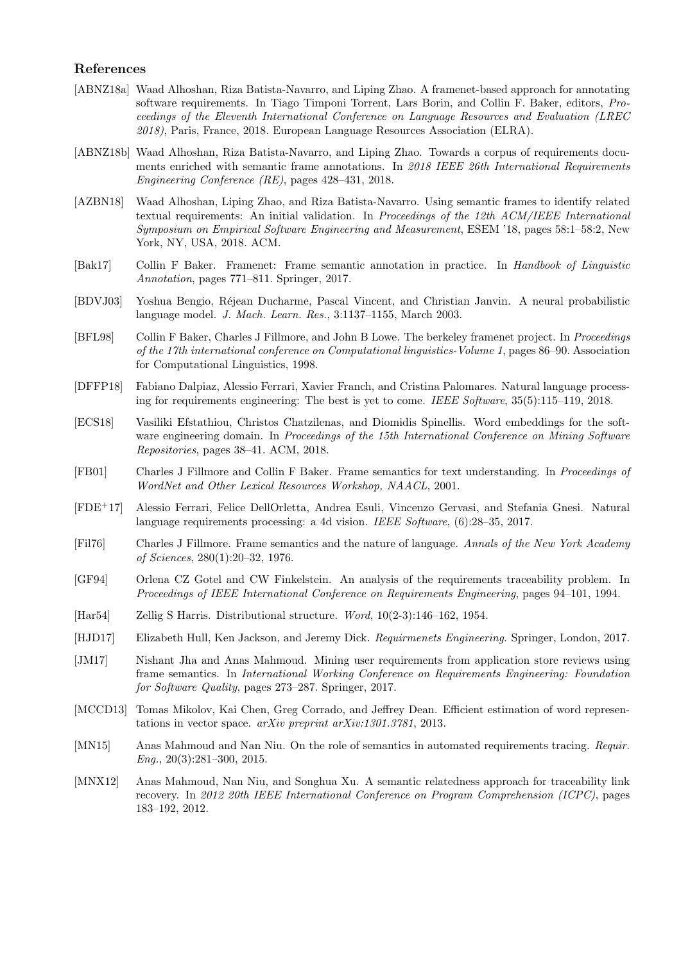## References

- [ABNZ18a] Waad Alhoshan, Riza Batista-Navarro, and Liping Zhao. A framenet-based approach for annotating software requirements. In Tiago Timponi Torrent, Lars Borin, and Collin F. Baker, editors, Proceedings of the Eleventh International Conference on Language Resources and Evaluation (LREC 2018), Paris, France, 2018. European Language Resources Association (ELRA).
- [ABNZ18b] Waad Alhoshan, Riza Batista-Navarro, and Liping Zhao. Towards a corpus of requirements documents enriched with semantic frame annotations. In 2018 IEEE 26th International Requirements Engineering Conference (RE), pages 428–431, 2018.
- [AZBN18] Waad Alhoshan, Liping Zhao, and Riza Batista-Navarro. Using semantic frames to identify related textual requirements: An initial validation. In Proceedings of the 12th ACM/IEEE International Symposium on Empirical Software Engineering and Measurement, ESEM '18, pages 58:1–58:2, New York, NY, USA, 2018. ACM.
- [Bak17] Collin F Baker. Framenet: Frame semantic annotation in practice. In Handbook of Linguistic Annotation, pages 771–811. Springer, 2017.
- [BDVJ03] Yoshua Bengio, R´ejean Ducharme, Pascal Vincent, and Christian Janvin. A neural probabilistic language model. J. Mach. Learn. Res., 3:1137–1155, March 2003.
- [BFL98] Collin F Baker, Charles J Fillmore, and John B Lowe. The berkeley framenet project. In Proceedings of the 17th international conference on Computational linguistics-Volume 1, pages 86–90. Association for Computational Linguistics, 1998.
- [DFFP18] Fabiano Dalpiaz, Alessio Ferrari, Xavier Franch, and Cristina Palomares. Natural language processing for requirements engineering: The best is yet to come. IEEE Software,  $35(5):115-119$ ,  $2018$ .
- [ECS18] Vasiliki Efstathiou, Christos Chatzilenas, and Diomidis Spinellis. Word embeddings for the software engineering domain. In Proceedings of the 15th International Conference on Mining Software Repositories, pages 38–41. ACM, 2018.
- [FB01] Charles J Fillmore and Collin F Baker. Frame semantics for text understanding. In Proceedings of WordNet and Other Lexical Resources Workshop, NAACL, 2001.
- [FDE+17] Alessio Ferrari, Felice DellOrletta, Andrea Esuli, Vincenzo Gervasi, and Stefania Gnesi. Natural language requirements processing: a 4d vision. IEEE Software, (6):28–35, 2017.
- [Fil76] Charles J Fillmore. Frame semantics and the nature of language. Annals of the New York Academy of Sciences, 280(1):20–32, 1976.
- [GF94] Orlena CZ Gotel and CW Finkelstein. An analysis of the requirements traceability problem. In Proceedings of IEEE International Conference on Requirements Engineering, pages 94–101, 1994.
- [Har54] Zellig S Harris. Distributional structure. Word, 10(2-3):146–162, 1954.
- [HJD17] Elizabeth Hull, Ken Jackson, and Jeremy Dick. Requirmenets Engineering. Springer, London, 2017.
- [JM17] Nishant Jha and Anas Mahmoud. Mining user requirements from application store reviews using frame semantics. In International Working Conference on Requirements Engineering: Foundation for Software Quality, pages 273–287. Springer, 2017.
- [MCCD13] Tomas Mikolov, Kai Chen, Greg Corrado, and Jeffrey Dean. Efficient estimation of word representations in vector space. arXiv preprint arXiv:1301.3781, 2013.
- [MN15] Anas Mahmoud and Nan Niu. On the role of semantics in automated requirements tracing. Requir.  $Enq., 20(3):281-300, 2015.$
- [MNX12] Anas Mahmoud, Nan Niu, and Songhua Xu. A semantic relatedness approach for traceability link recovery. In 2012 20th IEEE International Conference on Program Comprehension (ICPC), pages 183–192, 2012.